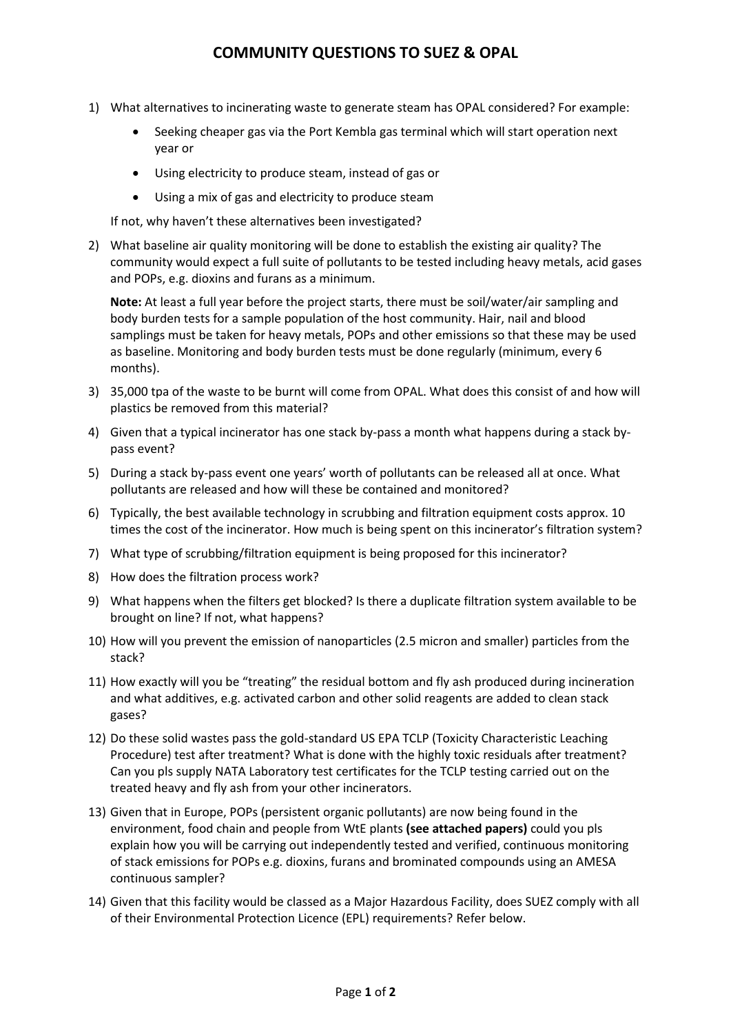## **COMMUNITY QUESTIONS TO SUEZ & OPAL**

- 1) What alternatives to incinerating waste to generate steam has OPAL considered? For example:
	- Seeking cheaper gas via the Port Kembla gas terminal which will start operation next year or
	- Using electricity to produce steam, instead of gas or
	- Using a mix of gas and electricity to produce steam

If not, why haven't these alternatives been investigated?

2) What baseline air quality monitoring will be done to establish the existing air quality? The community would expect a full suite of pollutants to be tested including heavy metals, acid gases and POPs, e.g. dioxins and furans as a minimum.

**Note:** At least a full year before the project starts, there must be soil/water/air sampling and body burden tests for a sample population of the host community. Hair, nail and blood samplings must be taken for heavy metals, POPs and other emissions so that these may be used as baseline. Monitoring and body burden tests must be done regularly (minimum, every 6 months).

- 3) 35,000 tpa of the waste to be burnt will come from OPAL. What does this consist of and how will plastics be removed from this material?
- 4) Given that a typical incinerator has one stack by-pass a month what happens during a stack bypass event?
- 5) During a stack by-pass event one years' worth of pollutants can be released all at once. What pollutants are released and how will these be contained and monitored?
- 6) Typically, the best available technology in scrubbing and filtration equipment costs approx. 10 times the cost of the incinerator. How much is being spent on this incinerator's filtration system?
- 7) What type of scrubbing/filtration equipment is being proposed for this incinerator?
- 8) How does the filtration process work?
- 9) What happens when the filters get blocked? Is there a duplicate filtration system available to be brought on line? If not, what happens?
- 10) How will you prevent the emission of nanoparticles (2.5 micron and smaller) particles from the stack?
- 11) How exactly will you be "treating" the residual bottom and fly ash produced during incineration and what additives, e.g. activated carbon and other solid reagents are added to clean stack gases?
- 12) Do these solid wastes pass the gold-standard US EPA TCLP (Toxicity Characteristic Leaching Procedure) test after treatment? What is done with the highly toxic residuals after treatment? Can you pls supply NATA Laboratory test certificates for the TCLP testing carried out on the treated heavy and fly ash from your other incinerators.
- 13) Given that in Europe, POPs (persistent organic pollutants) are now being found in the environment, food chain and people from WtE plants **(see attached papers)** could you pls explain how you will be carrying out independently tested and verified, continuous monitoring of stack emissions for POPs e.g. dioxins, furans and brominated compounds using an AMESA continuous sampler?
- 14) Given that this facility would be classed as a Major Hazardous Facility, does SUEZ comply with all of their Environmental Protection Licence (EPL) requirements? Refer below.